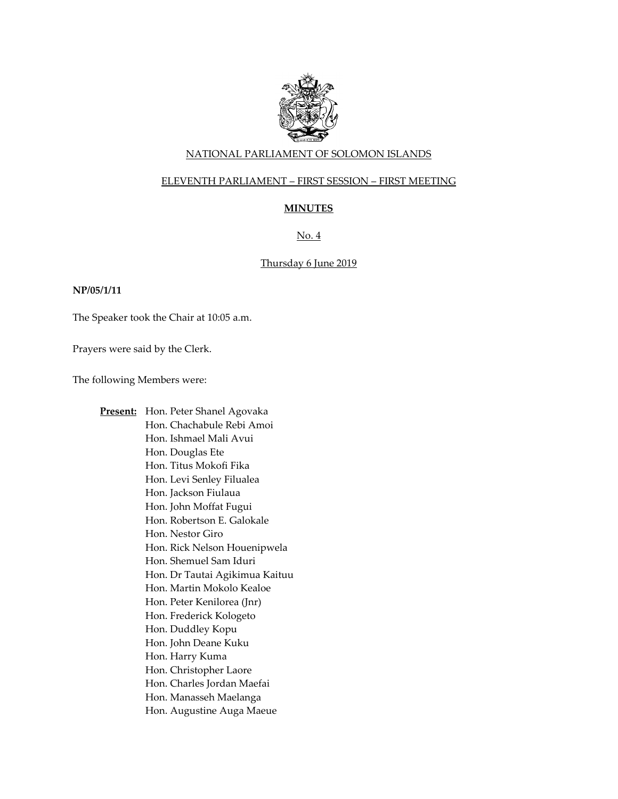

## NATIONAL PARLIAMENT OF SOLOMON ISLANDS

## ELEVENTH PARLIAMENT – FIRST SESSION – FIRST MEETING

# **MINUTES**

# No. 4

## Thursday 6 June 2019

### **NP/05/1/11**

The Speaker took the Chair at 10:05 a.m.

Prayers were said by the Clerk.

The following Members were:

**Present:** Hon. Peter Shanel Agovaka Hon. Chachabule Rebi Amoi Hon. Ishmael Mali Avui Hon. Douglas Ete Hon. Titus Mokofi Fika Hon. Levi Senley Filualea Hon. Jackson Fiulaua Hon. John Moffat Fugui Hon. Robertson E. Galokale Hon. Nestor Giro Hon. Rick Nelson Houenipwela Hon. Shemuel Sam Iduri Hon. Dr Tautai Agikimua Kaituu Hon. Martin Mokolo Kealoe Hon. Peter Kenilorea (Jnr) Hon. Frederick Kologeto Hon. Duddley Kopu Hon. John Deane Kuku Hon. Harry Kuma Hon. Christopher Laore Hon. Charles Jordan Maefai Hon. Manasseh Maelanga Hon. Augustine Auga Maeue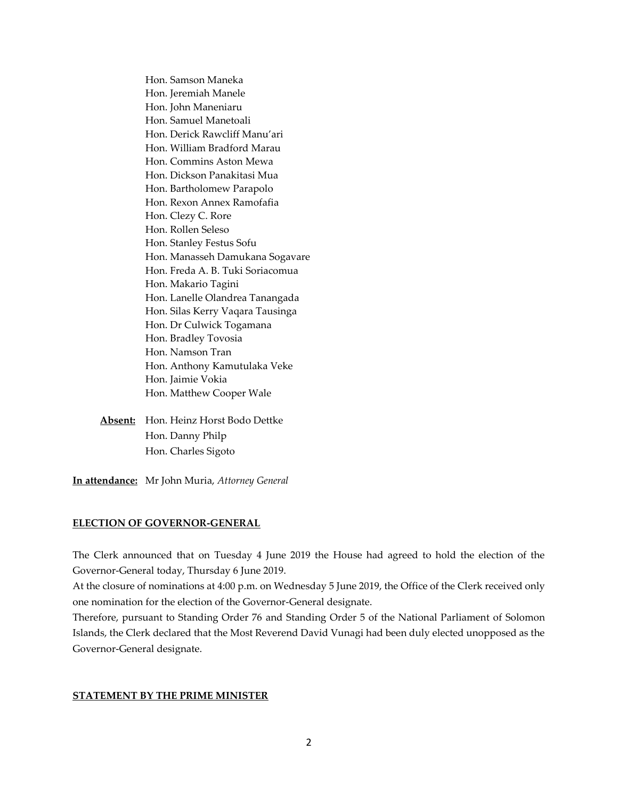Hon. Samson Maneka Hon. Jeremiah Manele Hon. John Maneniaru Hon. Samuel Manetoali Hon. Derick Rawcliff Manu'ari Hon. William Bradford Marau Hon. Commins Aston Mewa Hon. Dickson Panakitasi Mua Hon. Bartholomew Parapolo Hon. Rexon Annex Ramofafia Hon. Clezy C. Rore Hon. Rollen Seleso Hon. Stanley Festus Sofu Hon. Manasseh Damukana Sogavare Hon. Freda A. B. Tuki Soriacomua Hon. Makario Tagini Hon. Lanelle Olandrea Tanangada Hon. Silas Kerry Vaqara Tausinga Hon. Dr Culwick Togamana Hon. Bradley Tovosia Hon. Namson Tran Hon. Anthony Kamutulaka Veke Hon. Jaimie Vokia Hon. Matthew Cooper Wale

**Absent:** Hon. Heinz Horst Bodo Dettke Hon. Danny Philp Hon. Charles Sigoto

**In attendance:** Mr John Muria, *Attorney General*

### **ELECTION OF GOVERNOR-GENERAL**

The Clerk announced that on Tuesday 4 June 2019 the House had agreed to hold the election of the Governor-General today, Thursday 6 June 2019.

At the closure of nominations at 4:00 p.m. on Wednesday 5 June 2019, the Office of the Clerk received only one nomination for the election of the Governor-General designate.

Therefore, pursuant to Standing Order 76 and Standing Order 5 of the National Parliament of Solomon Islands, the Clerk declared that the Most Reverend David Vunagi had been duly elected unopposed as the Governor-General designate.

### **STATEMENT BY THE PRIME MINISTER**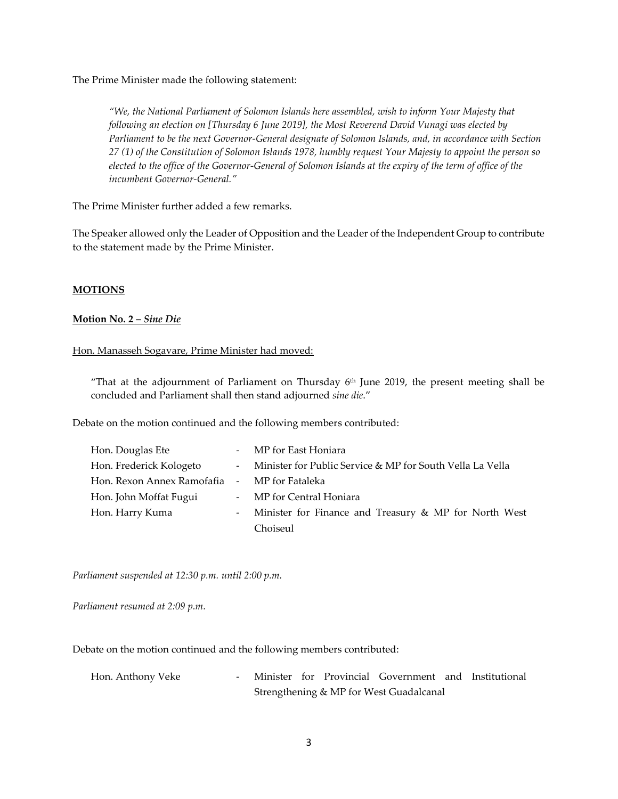The Prime Minister made the following statement:

*"We, the National Parliament of Solomon Islands here assembled, wish to inform Your Majesty that following an election on [Thursday 6 June 2019], the Most Reverend David Vunagi was elected by Parliament to be the next Governor-General designate of Solomon Islands, and, in accordance with Section 27 (1) of the Constitution of Solomon Islands 1978, humbly request Your Majesty to appoint the person so elected to the office of the Governor-General of Solomon Islands at the expiry of the term of office of the incumbent Governor-General."*

The Prime Minister further added a few remarks.

The Speaker allowed only the Leader of Opposition and the Leader of the Independent Group to contribute to the statement made by the Prime Minister.

### **MOTIONS**

### **Motion No. 2 –** *Sine Die*

### Hon. Manasseh Sogavare, Prime Minister had moved:

"That at the adjournment of Parliament on Thursday  $6<sup>th</sup>$  June 2019, the present meeting shall be concluded and Parliament shall then stand adjourned *sine die*."

Debate on the motion continued and the following members contributed:

| Hon. Douglas Ete                             | - MP for East Honiara                                       |
|----------------------------------------------|-------------------------------------------------------------|
| Hon. Frederick Kologeto                      | - Minister for Public Service & MP for South Vella La Vella |
| Hon. Rexon Annex Ramofafia - MP for Fataleka |                                                             |
| Hon. John Moffat Fugui                       | - MP for Central Honiara                                    |
| Hon. Harry Kuma                              | - Minister for Finance and Treasury & MP for North West     |
|                                              | Choiseul                                                    |

*Parliament suspended at 12:30 p.m. until 2:00 p.m.*

*Parliament resumed at 2:09 p.m.*

Debate on the motion continued and the following members contributed:

| Hon. Anthony Veke |  |  | Minister for Provincial Government and Institutional |  |
|-------------------|--|--|------------------------------------------------------|--|
|                   |  |  | Strengthening & MP for West Guadalcanal              |  |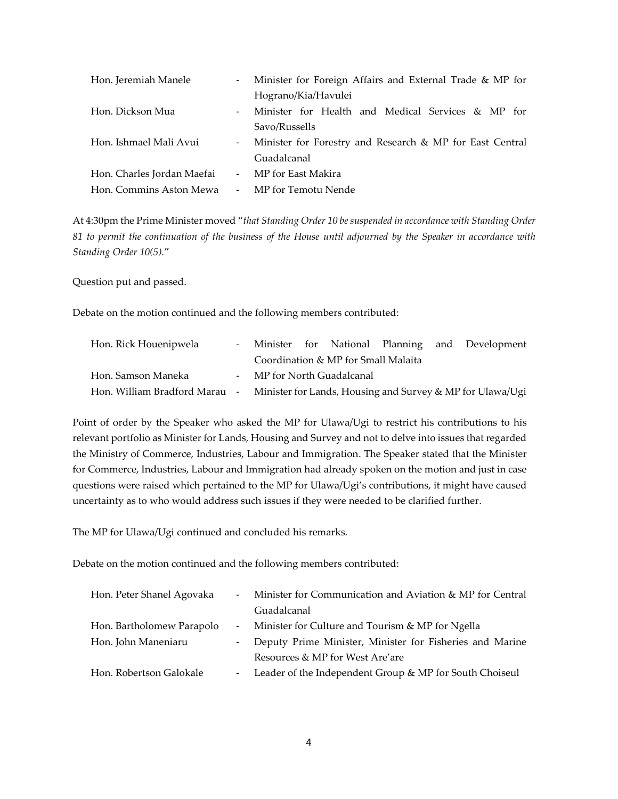| Hon. Jeremiah Manele       | $\sim 100$ | Minister for Foreign Affairs and External Trade & MP for |
|----------------------------|------------|----------------------------------------------------------|
|                            |            | Hograno/Kia/Havulei                                      |
| Hon. Dickson Mua           | $-$        | Minister for Health and Medical Services & MP for        |
|                            |            | Savo/Russells                                            |
| Hon. Ishmael Mali Avui     | $\sim 100$ | Minister for Forestry and Research & MP for East Central |
|                            |            | Guadalcanal                                              |
| Hon. Charles Jordan Maefai |            | - MP for East Makira                                     |
| Hon. Commins Aston Mewa    |            | - MP for Temotu Nende                                    |

At 4:30pm the Prime Minister moved "*that Standing Order 10 be suspended in accordance with Standing Order 81 to permit the continuation of the business of the House until adjourned by the Speaker in accordance with Standing Order 10(5).*"

Question put and passed.

Debate on the motion continued and the following members contributed:

| Hon. Rick Houenipwela                                                                   |  |                                     |  | - Minister for National Planning and Development |
|-----------------------------------------------------------------------------------------|--|-------------------------------------|--|--------------------------------------------------|
|                                                                                         |  | Coordination & MP for Small Malaita |  |                                                  |
| Hon. Samson Maneka                                                                      |  | - MP for North Guadalcanal          |  |                                                  |
| Hon. William Bradford Marau - Minister for Lands, Housing and Survey & MP for Ulawa/Ugi |  |                                     |  |                                                  |

Point of order by the Speaker who asked the MP for Ulawa/Ugi to restrict his contributions to his relevant portfolio as Minister for Lands, Housing and Survey and not to delve into issues that regarded the Ministry of Commerce, Industries, Labour and Immigration. The Speaker stated that the Minister for Commerce, Industries, Labour and Immigration had already spoken on the motion and just in case questions were raised which pertained to the MP for Ulawa/Ugi's contributions, it might have caused uncertainty as to who would address such issues if they were needed to be clarified further.

The MP for Ulawa/Ugi continued and concluded his remarks.

Debate on the motion continued and the following members contributed:

| Hon. Peter Shanel Agovaka | $\omega_{\rm{max}}$ | Minister for Communication and Aviation & MP for Central   |
|---------------------------|---------------------|------------------------------------------------------------|
|                           |                     | Guadalcanal                                                |
| Hon. Bartholomew Parapolo |                     | - Minister for Culture and Tourism & MP for Ngella         |
| Hon. John Maneniaru       |                     | - Deputy Prime Minister, Minister for Fisheries and Marine |
|                           |                     | Resources & MP for West Are'are                            |
| Hon. Robertson Galokale   |                     | - Leader of the Independent Group & MP for South Choiseul  |